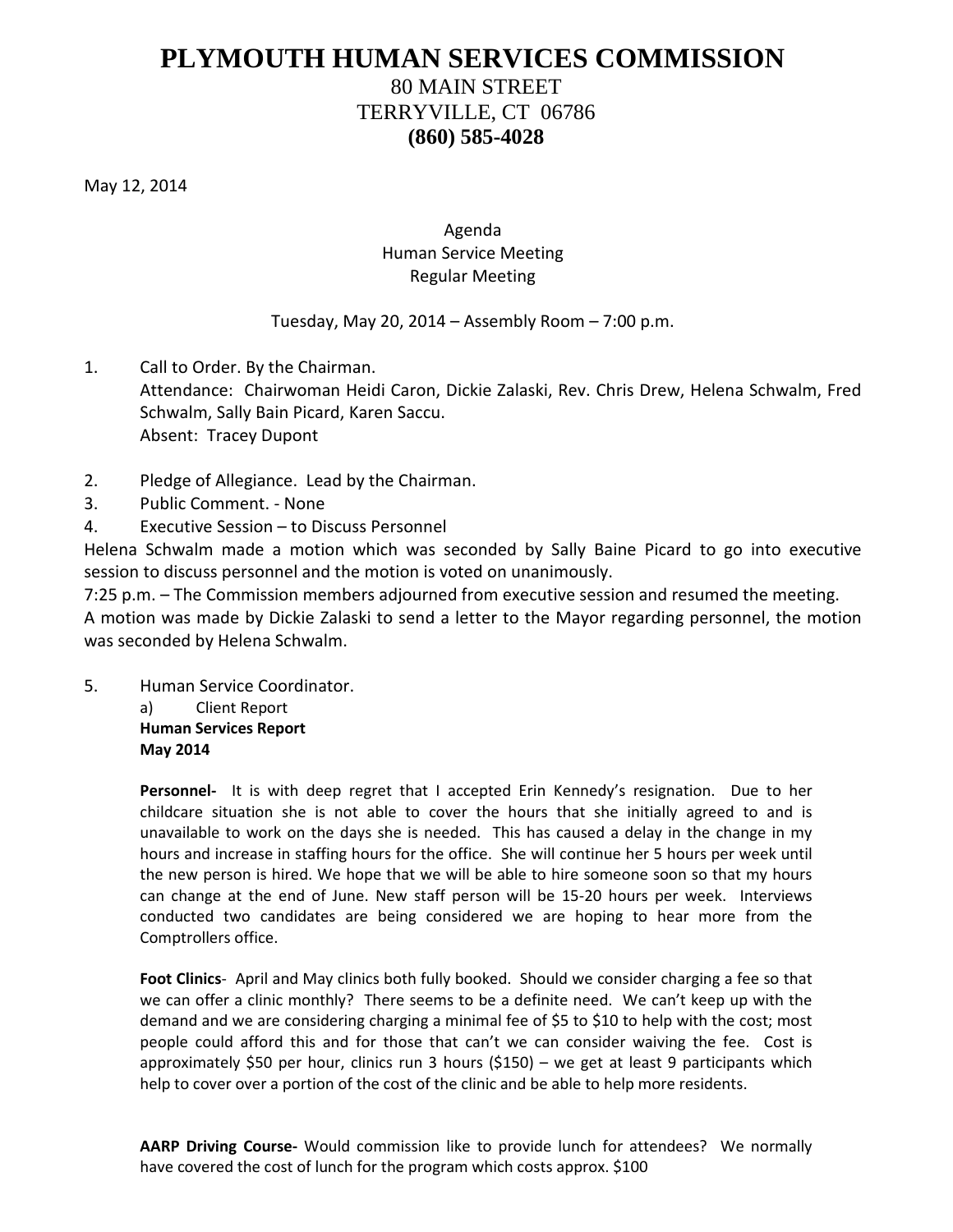# **PLYMOUTH HUMAN SERVICES COMMISSION**

# 80 MAIN STREET TERRYVILLE, CT 06786 **(860) 585-4028**

May 12, 2014

## Agenda Human Service Meeting Regular Meeting

### Tuesday, May 20, 2014 – Assembly Room – 7:00 p.m.

- 1. Call to Order. By the Chairman. Attendance: Chairwoman Heidi Caron, Dickie Zalaski, Rev. Chris Drew, Helena Schwalm, Fred Schwalm, Sally Bain Picard, Karen Saccu. Absent: Tracey Dupont
- 2. Pledge of Allegiance. Lead by the Chairman.
- 3. Public Comment. None
- 4. Executive Session to Discuss Personnel

Helena Schwalm made a motion which was seconded by Sally Baine Picard to go into executive session to discuss personnel and the motion is voted on unanimously.

7:25 p.m. – The Commission members adjourned from executive session and resumed the meeting. A motion was made by Dickie Zalaski to send a letter to the Mayor regarding personnel, the motion was seconded by Helena Schwalm.

5. Human Service Coordinator.

a) Client Report

**Human Services Report May 2014**

**Personnel-** It is with deep regret that I accepted Erin Kennedy's resignation. Due to her childcare situation she is not able to cover the hours that she initially agreed to and is unavailable to work on the days she is needed. This has caused a delay in the change in my hours and increase in staffing hours for the office. She will continue her 5 hours per week until the new person is hired. We hope that we will be able to hire someone soon so that my hours can change at the end of June. New staff person will be 15-20 hours per week. Interviews conducted two candidates are being considered we are hoping to hear more from the Comptrollers office.

**Foot Clinics**- April and May clinics both fully booked. Should we consider charging a fee so that we can offer a clinic monthly? There seems to be a definite need. We can't keep up with the demand and we are considering charging a minimal fee of \$5 to \$10 to help with the cost; most people could afford this and for those that can't we can consider waiving the fee. Cost is approximately \$50 per hour, clinics run 3 hours (\$150) – we get at least 9 participants which help to cover over a portion of the cost of the clinic and be able to help more residents.

**AARP Driving Course-** Would commission like to provide lunch for attendees? We normally have covered the cost of lunch for the program which costs approx. \$100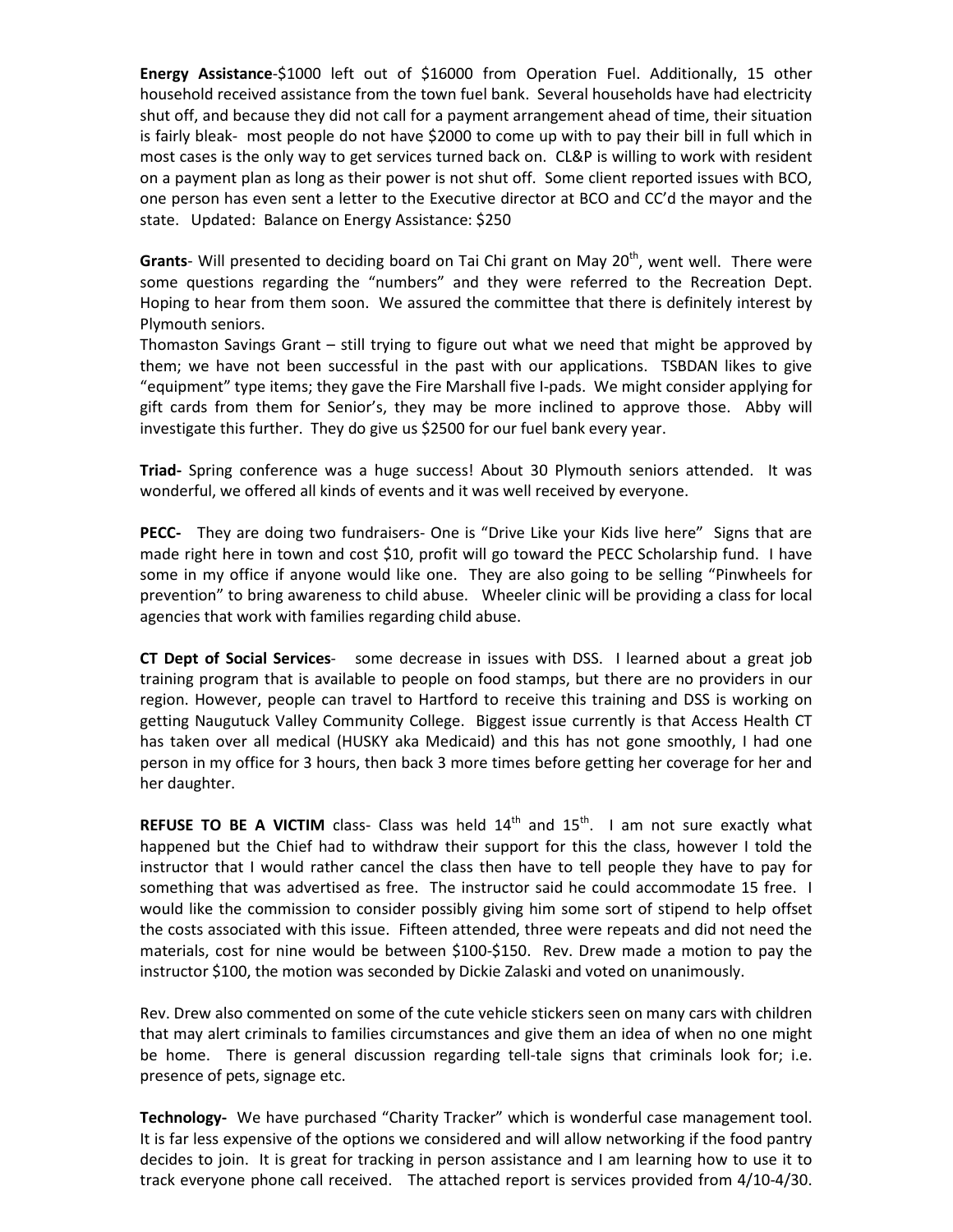**Energy Assistance**-\$1000 left out of \$16000 from Operation Fuel. Additionally, 15 other household received assistance from the town fuel bank. Several households have had electricity shut off, and because they did not call for a payment arrangement ahead of time, their situation is fairly bleak- most people do not have \$2000 to come up with to pay their bill in full which in most cases is the only way to get services turned back on. CL&P is willing to work with resident on a payment plan as long as their power is not shut off. Some client reported issues with BCO, one person has even sent a letter to the Executive director at BCO and CC'd the mayor and the state. Updated: Balance on Energy Assistance: \$250

**Grants**- Will presented to deciding board on Tai Chi grant on May 20<sup>th</sup>, went well. There were some questions regarding the "numbers" and they were referred to the Recreation Dept. Hoping to hear from them soon. We assured the committee that there is definitely interest by Plymouth seniors.

Thomaston Savings Grant – still trying to figure out what we need that might be approved by them; we have not been successful in the past with our applications. TSBDAN likes to give "equipment" type items; they gave the Fire Marshall five I-pads. We might consider applying for gift cards from them for Senior's, they may be more inclined to approve those. Abby will investigate this further. They do give us \$2500 for our fuel bank every year.

**Triad-** Spring conference was a huge success! About 30 Plymouth seniors attended. It was wonderful, we offered all kinds of events and it was well received by everyone.

**PECC-** They are doing two fundraisers- One is "Drive Like your Kids live here" Signs that are made right here in town and cost \$10, profit will go toward the PECC Scholarship fund. I have some in my office if anyone would like one. They are also going to be selling "Pinwheels for prevention" to bring awareness to child abuse. Wheeler clinic will be providing a class for local agencies that work with families regarding child abuse.

**CT Dept of Social Services**- some decrease in issues with DSS. I learned about a great job training program that is available to people on food stamps, but there are no providers in our region. However, people can travel to Hartford to receive this training and DSS is working on getting Naugutuck Valley Community College. Biggest issue currently is that Access Health CT has taken over all medical (HUSKY aka Medicaid) and this has not gone smoothly, I had one person in my office for 3 hours, then back 3 more times before getting her coverage for her and her daughter.

**REFUSE TO BE A VICTIM** class- Class was held  $14<sup>th</sup>$  and  $15<sup>th</sup>$ . I am not sure exactly what happened but the Chief had to withdraw their support for this the class, however I told the instructor that I would rather cancel the class then have to tell people they have to pay for something that was advertised as free. The instructor said he could accommodate 15 free. I would like the commission to consider possibly giving him some sort of stipend to help offset the costs associated with this issue. Fifteen attended, three were repeats and did not need the materials, cost for nine would be between \$100-\$150. Rev. Drew made a motion to pay the instructor \$100, the motion was seconded by Dickie Zalaski and voted on unanimously.

Rev. Drew also commented on some of the cute vehicle stickers seen on many cars with children that may alert criminals to families circumstances and give them an idea of when no one might be home. There is general discussion regarding tell-tale signs that criminals look for; i.e. presence of pets, signage etc.

**Technology-** We have purchased "Charity Tracker" which is wonderful case management tool. It is far less expensive of the options we considered and will allow networking if the food pantry decides to join. It is great for tracking in person assistance and I am learning how to use it to track everyone phone call received. The attached report is services provided from 4/10-4/30.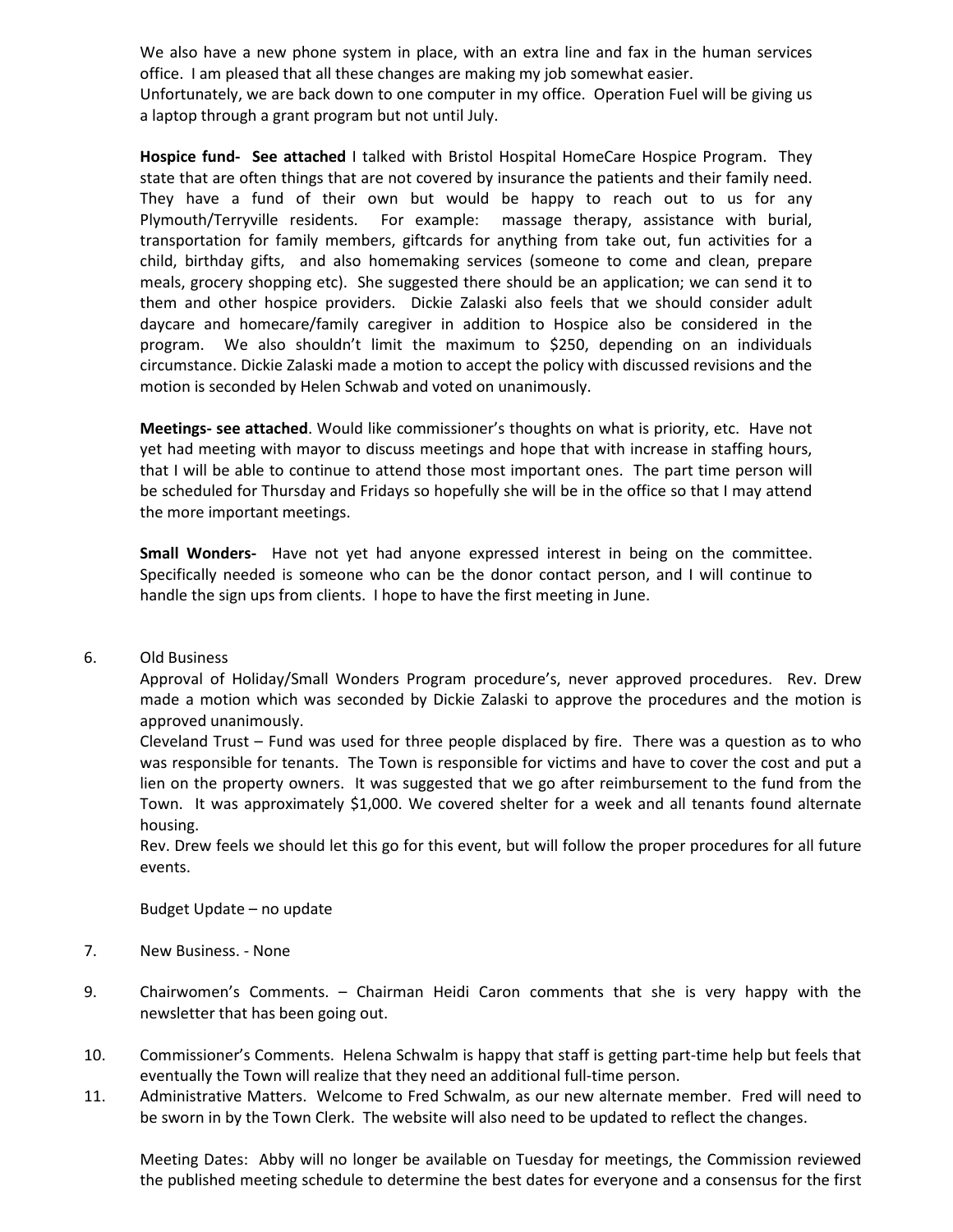We also have a new phone system in place, with an extra line and fax in the human services office. I am pleased that all these changes are making my job somewhat easier.

Unfortunately, we are back down to one computer in my office. Operation Fuel will be giving us a laptop through a grant program but not until July.

**Hospice fund- See attached** I talked with Bristol Hospital HomeCare Hospice Program. They state that are often things that are not covered by insurance the patients and their family need. They have a fund of their own but would be happy to reach out to us for any Plymouth/Terryville residents. For example: massage therapy, assistance with burial, transportation for family members, giftcards for anything from take out, fun activities for a child, birthday gifts, and also homemaking services (someone to come and clean, prepare meals, grocery shopping etc). She suggested there should be an application; we can send it to them and other hospice providers. Dickie Zalaski also feels that we should consider adult daycare and homecare/family caregiver in addition to Hospice also be considered in the program. We also shouldn't limit the maximum to \$250, depending on an individuals circumstance. Dickie Zalaski made a motion to accept the policy with discussed revisions and the motion is seconded by Helen Schwab and voted on unanimously.

**Meetings- see attached**. Would like commissioner's thoughts on what is priority, etc. Have not yet had meeting with mayor to discuss meetings and hope that with increase in staffing hours, that I will be able to continue to attend those most important ones. The part time person will be scheduled for Thursday and Fridays so hopefully she will be in the office so that I may attend the more important meetings.

**Small Wonders-** Have not yet had anyone expressed interest in being on the committee. Specifically needed is someone who can be the donor contact person, and I will continue to handle the sign ups from clients. I hope to have the first meeting in June.

6. Old Business

Approval of Holiday/Small Wonders Program procedure's, never approved procedures. Rev. Drew made a motion which was seconded by Dickie Zalaski to approve the procedures and the motion is approved unanimously.

Cleveland Trust – Fund was used for three people displaced by fire. There was a question as to who was responsible for tenants. The Town is responsible for victims and have to cover the cost and put a lien on the property owners. It was suggested that we go after reimbursement to the fund from the Town. It was approximately \$1,000. We covered shelter for a week and all tenants found alternate housing.

Rev. Drew feels we should let this go for this event, but will follow the proper procedures for all future events.

Budget Update – no update

- 7. New Business. None
- 9. Chairwomen's Comments. Chairman Heidi Caron comments that she is very happy with the newsletter that has been going out.
- 10. Commissioner's Comments. Helena Schwalm is happy that staff is getting part-time help but feels that eventually the Town will realize that they need an additional full-time person.
- 11. Administrative Matters. Welcome to Fred Schwalm, as our new alternate member. Fred will need to be sworn in by the Town Clerk. The website will also need to be updated to reflect the changes.

Meeting Dates: Abby will no longer be available on Tuesday for meetings, the Commission reviewed the published meeting schedule to determine the best dates for everyone and a consensus for the first